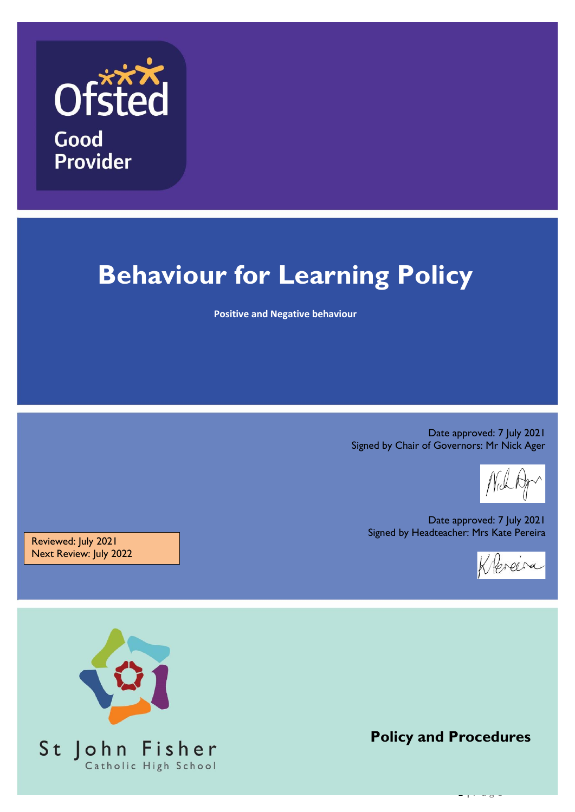

# **Behaviour for Learning Policy**

**Positive and Negative behaviour**

Date approved: 7 July 2021 Signed by Chair of Governors: Mr Nick Ager

Date approved: 7 July 2021 Signed by Headteacher: Mrs Kate Pereira



Reviewed: July 2021 Next Review: July 2022



**Policy and Procedures**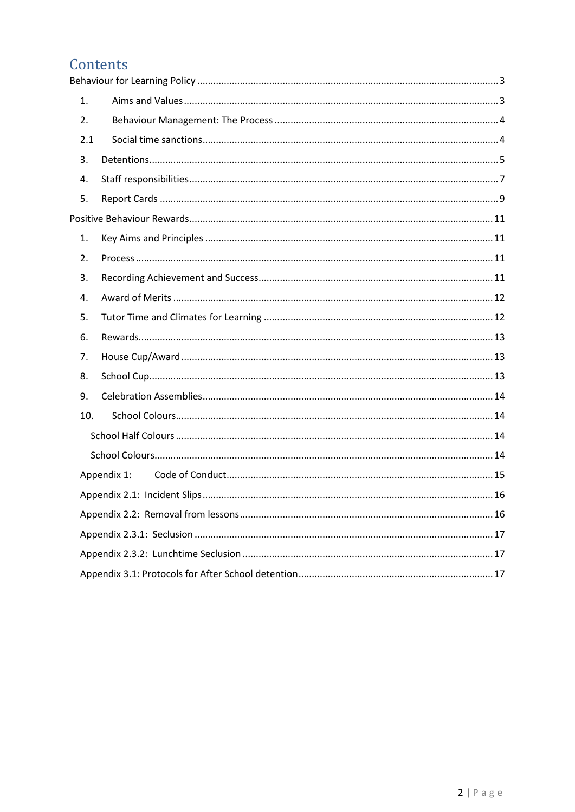## Contents

| 1.  |             |
|-----|-------------|
| 2.  |             |
| 2.1 |             |
| 3.  |             |
| 4.  |             |
| 5.  |             |
|     |             |
| 1.  |             |
| 2.  |             |
| 3.  |             |
| 4.  |             |
| 5.  |             |
|     |             |
| 6.  |             |
| 7.  |             |
| 8.  |             |
| 9.  |             |
| 10. |             |
|     |             |
|     |             |
|     | Appendix 1: |
|     |             |
|     |             |
|     |             |
|     |             |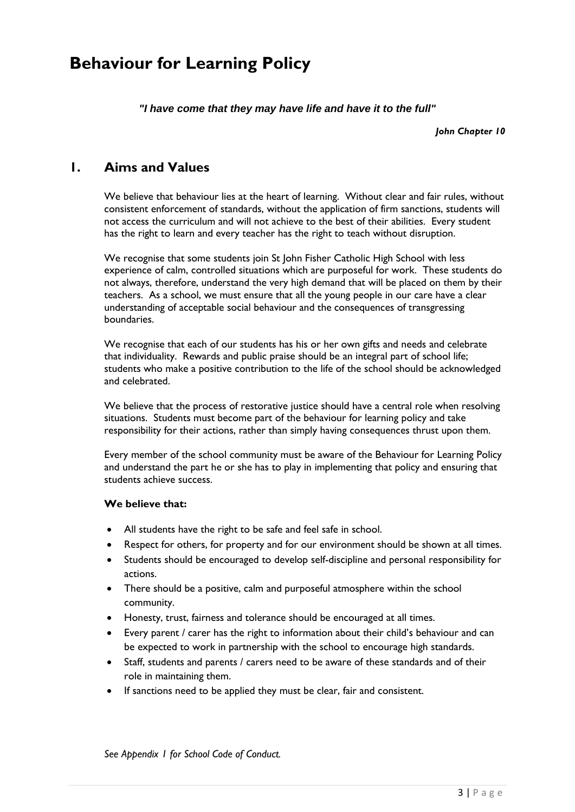## <span id="page-2-0"></span>**Behaviour for Learning Policy**

*"I have come that they may have life and have it to the full"*

*John Chapter 10*

## <span id="page-2-1"></span>**1. Aims and Values**

We believe that behaviour lies at the heart of learning. Without clear and fair rules, without consistent enforcement of standards, without the application of firm sanctions, students will not access the curriculum and will not achieve to the best of their abilities. Every student has the right to learn and every teacher has the right to teach without disruption.

We recognise that some students join St John Fisher Catholic High School with less experience of calm, controlled situations which are purposeful for work. These students do not always, therefore, understand the very high demand that will be placed on them by their teachers. As a school, we must ensure that all the young people in our care have a clear understanding of acceptable social behaviour and the consequences of transgressing boundaries.

We recognise that each of our students has his or her own gifts and needs and celebrate that individuality. Rewards and public praise should be an integral part of school life; students who make a positive contribution to the life of the school should be acknowledged and celebrated.

We believe that the process of restorative justice should have a central role when resolving situations. Students must become part of the behaviour for learning policy and take responsibility for their actions, rather than simply having consequences thrust upon them.

Every member of the school community must be aware of the Behaviour for Learning Policy and understand the part he or she has to play in implementing that policy and ensuring that students achieve success.

#### **We believe that:**

- All students have the right to be safe and feel safe in school.
- Respect for others, for property and for our environment should be shown at all times.
- Students should be encouraged to develop self-discipline and personal responsibility for actions.
- There should be a positive, calm and purposeful atmosphere within the school community.
- Honesty, trust, fairness and tolerance should be encouraged at all times.
- Every parent / carer has the right to information about their child's behaviour and can be expected to work in partnership with the school to encourage high standards.
- Staff, students and parents / carers need to be aware of these standards and of their role in maintaining them.
- If sanctions need to be applied they must be clear, fair and consistent.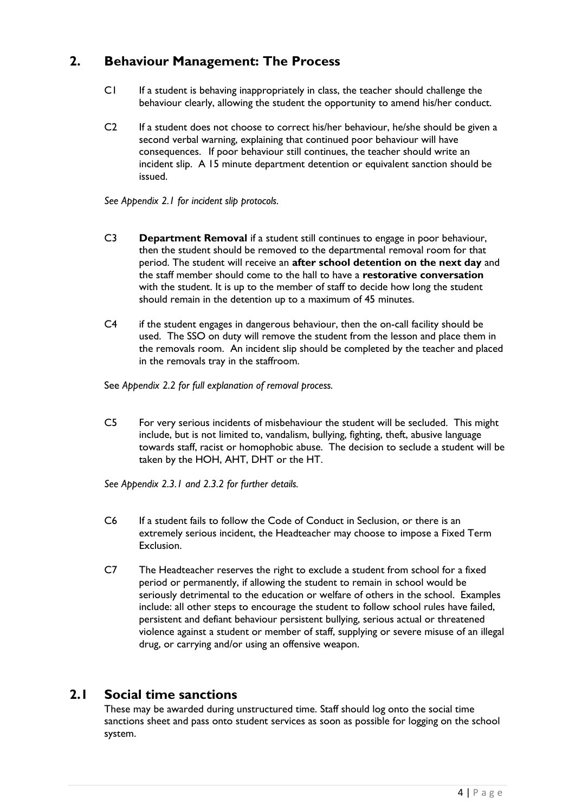## <span id="page-3-0"></span>**2. Behaviour Management: The Process**

- C1 If a student is behaving inappropriately in class, the teacher should challenge the behaviour clearly, allowing the student the opportunity to amend his/her conduct.
- C2 If a student does not choose to correct his/her behaviour, he/she should be given a second verbal warning, explaining that continued poor behaviour will have consequences. If poor behaviour still continues, the teacher should write an incident slip. A 15 minute department detention or equivalent sanction should be issued.

*See Appendix 2.1 for incident slip protocols.*

- C3 **Department Removal** if a student still continues to engage in poor behaviour, then the student should be removed to the departmental removal room for that period. The student will receive an **after school detention on the next day** and the staff member should come to the hall to have a **restorative conversation** with the student. It is up to the member of staff to decide how long the student should remain in the detention up to a maximum of 45 minutes.
- C4 if the student engages in dangerous behaviour, then the on-call facility should be used. The SSO on duty will remove the student from the lesson and place them in the removals room. An incident slip should be completed by the teacher and placed in the removals tray in the staffroom.

See *Appendix 2.2 for full explanation of removal process.*

C5 For very serious incidents of misbehaviour the student will be secluded. This might include, but is not limited to, vandalism, bullying, fighting, theft, abusive language towards staff, racist or homophobic abuse. The decision to seclude a student will be taken by the HOH, AHT, DHT or the HT.

*See Appendix 2.3.1 and 2.3.2 for further details.*

- C6 If a student fails to follow the Code of Conduct in Seclusion, or there is an extremely serious incident, the Headteacher may choose to impose a Fixed Term Exclusion.
- C7 The Headteacher reserves the right to exclude a student from school for a fixed period or permanently, if allowing the student to remain in school would be seriously detrimental to the education or welfare of others in the school. Examples include: all other steps to encourage the student to follow school rules have failed, persistent and defiant behaviour persistent bullying, serious actual or threatened violence against a student or member of staff, supplying or severe misuse of an illegal drug, or carrying and/or using an offensive weapon.

### <span id="page-3-1"></span>**2.1 Social time sanctions**

These may be awarded during unstructured time. Staff should log onto the social time sanctions sheet and pass onto student services as soon as possible for logging on the school system.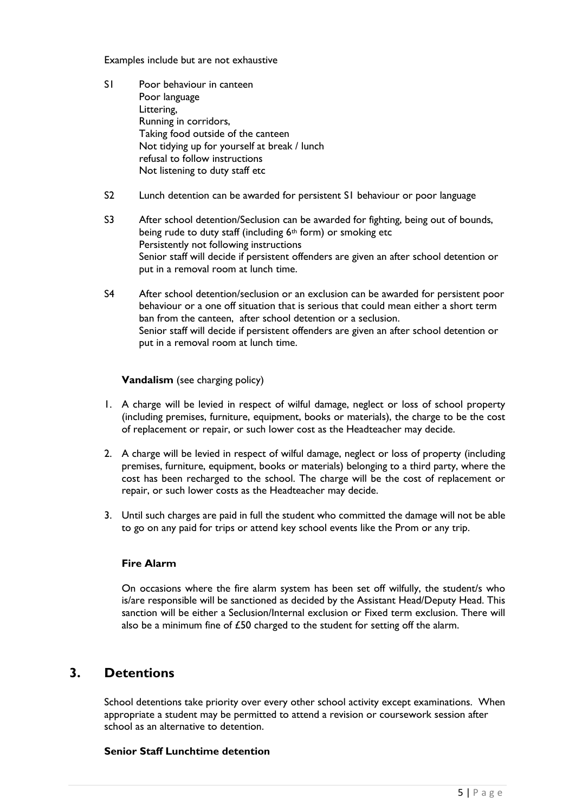Examples include but are not exhaustive

- S1 Poor behaviour in canteen Poor language Littering, Running in corridors, Taking food outside of the canteen Not tidying up for yourself at break / lunch refusal to follow instructions Not listening to duty staff etc
- S2 Lunch detention can be awarded for persistent S1 behaviour or poor language
- S3 After school detention/Seclusion can be awarded for fighting, being out of bounds, being rude to duty staff (including  $6<sup>th</sup>$  form) or smoking etc Persistently not following instructions Senior staff will decide if persistent offenders are given an after school detention or put in a removal room at lunch time.
- S4 After school detention/seclusion or an exclusion can be awarded for persistent poor behaviour or a one off situation that is serious that could mean either a short term ban from the canteen, after school detention or a seclusion. Senior staff will decide if persistent offenders are given an after school detention or put in a removal room at lunch time.

#### **Vandalism** (see charging policy)

- 1. A charge will be levied in respect of wilful damage, neglect or loss of school property (including premises, furniture, equipment, books or materials), the charge to be the cost of replacement or repair, or such lower cost as the Headteacher may decide.
- 2. A charge will be levied in respect of wilful damage, neglect or loss of property (including premises, furniture, equipment, books or materials) belonging to a third party, where the cost has been recharged to the school. The charge will be the cost of replacement or repair, or such lower costs as the Headteacher may decide.
- 3. Until such charges are paid in full the student who committed the damage will not be able to go on any paid for trips or attend key school events like the Prom or any trip.

#### **Fire Alarm**

On occasions where the fire alarm system has been set off wilfully, the student/s who is/are responsible will be sanctioned as decided by the Assistant Head/Deputy Head. This sanction will be either a Seclusion/Internal exclusion or Fixed term exclusion. There will also be a minimum fine of £50 charged to the student for setting off the alarm.

## <span id="page-4-0"></span>**3. Detentions**

School detentions take priority over every other school activity except examinations. When appropriate a student may be permitted to attend a revision or coursework session after school as an alternative to detention.

#### **Senior Staff Lunchtime detention**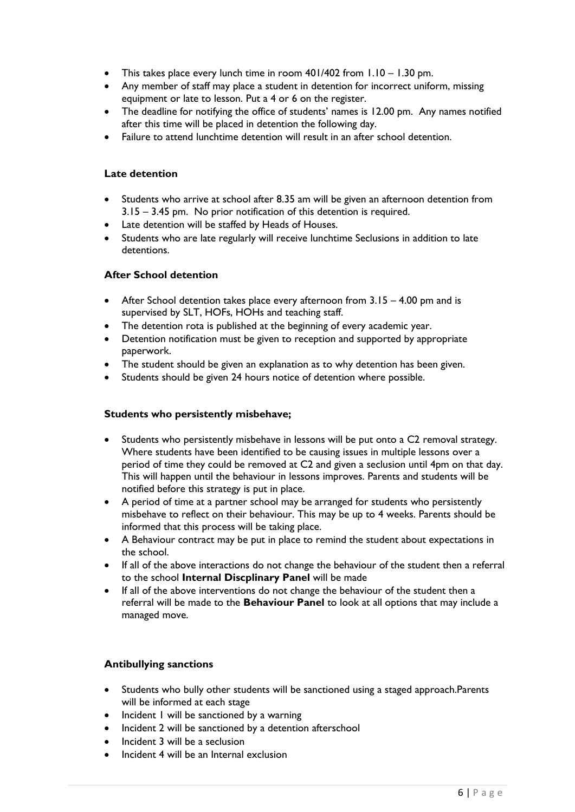- This takes place every lunch time in room 401/402 from 1.10 1.30 pm.
- Any member of staff may place a student in detention for incorrect uniform, missing equipment or late to lesson. Put a 4 or 6 on the register.
- The deadline for notifying the office of students' names is 12.00 pm. Any names notified after this time will be placed in detention the following day.
- Failure to attend lunchtime detention will result in an after school detention.

#### **Late detention**

- Students who arrive at school after 8.35 am will be given an afternoon detention from 3.15 – 3.45 pm. No prior notification of this detention is required.
- Late detention will be staffed by Heads of Houses.
- Students who are late regularly will receive lunchtime Seclusions in addition to late detentions.

#### **After School detention**

- After School detention takes place every afternoon from 3.15 4.00 pm and is supervised by SLT, HOFs, HOHs and teaching staff.
- The detention rota is published at the beginning of every academic year.
- Detention notification must be given to reception and supported by appropriate paperwork.
- The student should be given an explanation as to why detention has been given.
- Students should be given 24 hours notice of detention where possible.

#### **Students who persistently misbehave;**

- Students who persistently misbehave in lessons will be put onto a C2 removal strategy. Where students have been identified to be causing issues in multiple lessons over a period of time they could be removed at C2 and given a seclusion until 4pm on that day. This will happen until the behaviour in lessons improves. Parents and students will be notified before this strategy is put in place.
- A period of time at a partner school may be arranged for students who persistently misbehave to reflect on their behaviour. This may be up to 4 weeks. Parents should be informed that this process will be taking place.
- A Behaviour contract may be put in place to remind the student about expectations in the school.
- If all of the above interactions do not change the behaviour of the student then a referral to the school **Internal Discplinary Panel** will be made
- If all of the above interventions do not change the behaviour of the student then a referral will be made to the **Behaviour Panel** to look at all options that may include a managed move.

#### **Antibullying sanctions**

- Students who bully other students will be sanctioned using a staged approach.Parents will be informed at each stage
- Incident 1 will be sanctioned by a warning
- Incident 2 will be sanctioned by a detention afterschool
- Incident 3 will be a seclusion
- Incident 4 will be an Internal exclusion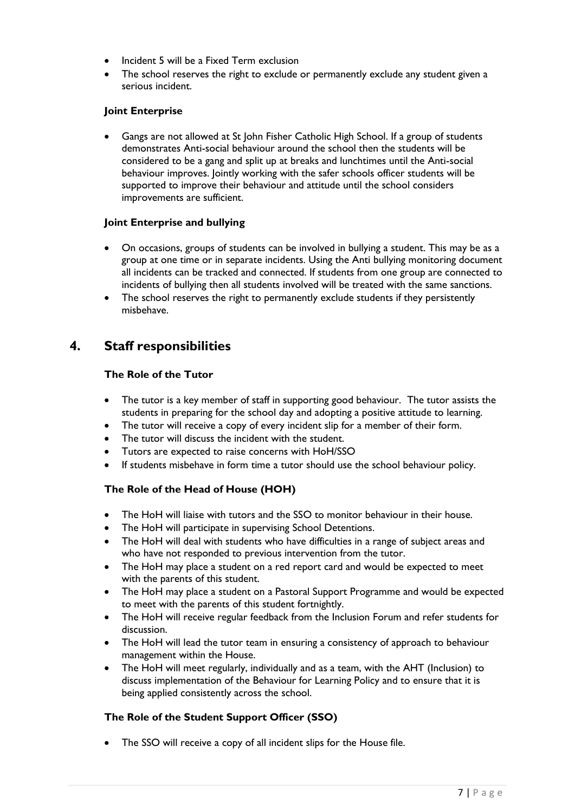- Incident 5 will be a Fixed Term exclusion
- The school reserves the right to exclude or permanently exclude any student given a serious incident.

#### **Joint Enterprise**

 Gangs are not allowed at St John Fisher Catholic High School. If a group of students demonstrates Anti-social behaviour around the school then the students will be considered to be a gang and split up at breaks and lunchtimes until the Anti-social behaviour improves. Jointly working with the safer schools officer students will be supported to improve their behaviour and attitude until the school considers improvements are sufficient.

#### **Joint Enterprise and bullying**

- On occasions, groups of students can be involved in bullying a student. This may be as a group at one time or in separate incidents. Using the Anti bullying monitoring document all incidents can be tracked and connected. If students from one group are connected to incidents of bullying then all students involved will be treated with the same sanctions.
- The school reserves the right to permanently exclude students if they persistently misbehave.

## <span id="page-6-0"></span>**4. Staff responsibilities**

#### **The Role of the Tutor**

- The tutor is a key member of staff in supporting good behaviour. The tutor assists the students in preparing for the school day and adopting a positive attitude to learning.
- The tutor will receive a copy of every incident slip for a member of their form.
- The tutor will discuss the incident with the student.
- Tutors are expected to raise concerns with HoH/SSO
- If students misbehave in form time a tutor should use the school behaviour policy.

#### **The Role of the Head of House (HOH)**

- The HoH will liaise with tutors and the SSO to monitor behaviour in their house.
- The HoH will participate in supervising School Detentions.
- The HoH will deal with students who have difficulties in a range of subject areas and who have not responded to previous intervention from the tutor.
- The HoH may place a student on a red report card and would be expected to meet with the parents of this student.
- The HoH may place a student on a Pastoral Support Programme and would be expected to meet with the parents of this student fortnightly.
- The HoH will receive regular feedback from the Inclusion Forum and refer students for discussion.
- The HoH will lead the tutor team in ensuring a consistency of approach to behaviour management within the House.
- The HoH will meet regularly, individually and as a team, with the AHT (Inclusion) to discuss implementation of the Behaviour for Learning Policy and to ensure that it is being applied consistently across the school.

#### **The Role of the Student Support Officer (SSO)**

• The SSO will receive a copy of all incident slips for the House file.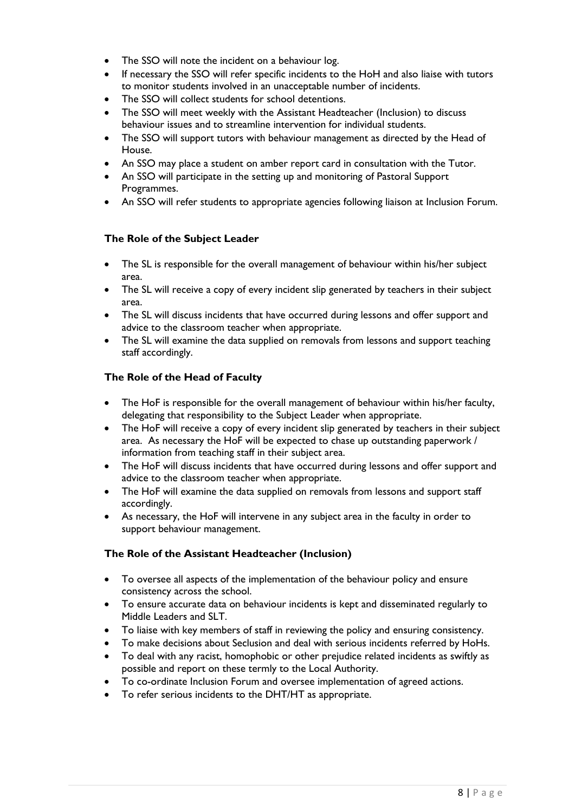- The SSO will note the incident on a behaviour log.
- If necessary the SSO will refer specific incidents to the HoH and also liaise with tutors to monitor students involved in an unacceptable number of incidents.
- The SSO will collect students for school detentions.
- The SSO will meet weekly with the Assistant Headteacher (Inclusion) to discuss behaviour issues and to streamline intervention for individual students.
- The SSO will support tutors with behaviour management as directed by the Head of House.
- An SSO may place a student on amber report card in consultation with the Tutor.
- An SSO will participate in the setting up and monitoring of Pastoral Support Programmes.
- An SSO will refer students to appropriate agencies following liaison at Inclusion Forum.

#### **The Role of the Subject Leader**

- The SL is responsible for the overall management of behaviour within his/her subject area.
- The SL will receive a copy of every incident slip generated by teachers in their subject area.
- The SL will discuss incidents that have occurred during lessons and offer support and advice to the classroom teacher when appropriate.
- The SL will examine the data supplied on removals from lessons and support teaching staff accordingly.

#### **The Role of the Head of Faculty**

- The HoF is responsible for the overall management of behaviour within his/her faculty, delegating that responsibility to the Subject Leader when appropriate.
- The HoF will receive a copy of every incident slip generated by teachers in their subject area. As necessary the HoF will be expected to chase up outstanding paperwork / information from teaching staff in their subject area.
- The HoF will discuss incidents that have occurred during lessons and offer support and advice to the classroom teacher when appropriate.
- The HoF will examine the data supplied on removals from lessons and support staff accordingly.
- As necessary, the HoF will intervene in any subject area in the faculty in order to support behaviour management.

#### **The Role of the Assistant Headteacher (Inclusion)**

- To oversee all aspects of the implementation of the behaviour policy and ensure consistency across the school.
- To ensure accurate data on behaviour incidents is kept and disseminated regularly to Middle Leaders and SLT.
- To liaise with key members of staff in reviewing the policy and ensuring consistency.
- To make decisions about Seclusion and deal with serious incidents referred by HoHs.
- To deal with any racist, homophobic or other prejudice related incidents as swiftly as possible and report on these termly to the Local Authority.
- To co-ordinate Inclusion Forum and oversee implementation of agreed actions.
- To refer serious incidents to the DHT/HT as appropriate.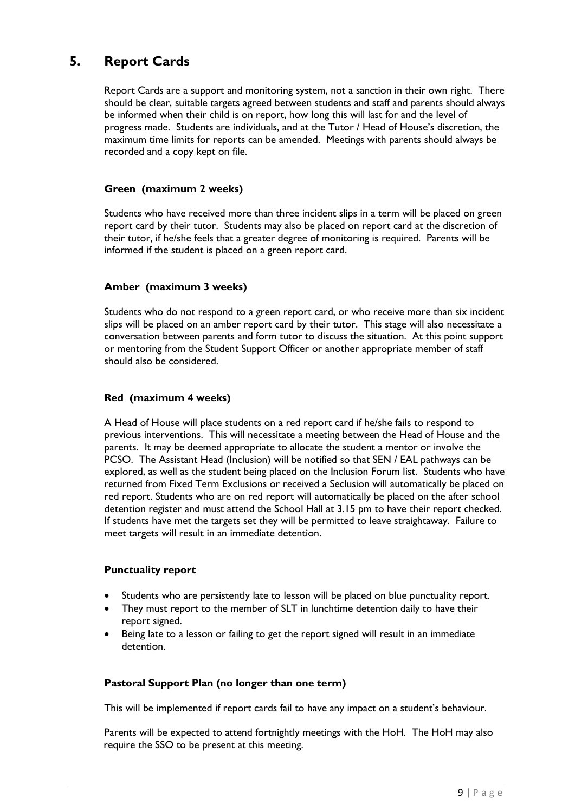## <span id="page-8-0"></span>**5. Report Cards**

Report Cards are a support and monitoring system, not a sanction in their own right. There should be clear, suitable targets agreed between students and staff and parents should always be informed when their child is on report, how long this will last for and the level of progress made. Students are individuals, and at the Tutor / Head of House's discretion, the maximum time limits for reports can be amended. Meetings with parents should always be recorded and a copy kept on file.

#### **Green (maximum 2 weeks)**

Students who have received more than three incident slips in a term will be placed on green report card by their tutor. Students may also be placed on report card at the discretion of their tutor, if he/she feels that a greater degree of monitoring is required. Parents will be informed if the student is placed on a green report card.

#### **Amber (maximum 3 weeks)**

Students who do not respond to a green report card, or who receive more than six incident slips will be placed on an amber report card by their tutor. This stage will also necessitate a conversation between parents and form tutor to discuss the situation. At this point support or mentoring from the Student Support Officer or another appropriate member of staff should also be considered.

#### **Red (maximum 4 weeks)**

A Head of House will place students on a red report card if he/she fails to respond to previous interventions. This will necessitate a meeting between the Head of House and the parents. It may be deemed appropriate to allocate the student a mentor or involve the PCSO. The Assistant Head (Inclusion) will be notified so that SEN / EAL pathways can be explored, as well as the student being placed on the Inclusion Forum list. Students who have returned from Fixed Term Exclusions or received a Seclusion will automatically be placed on red report. Students who are on red report will automatically be placed on the after school detention register and must attend the School Hall at 3.15 pm to have their report checked. If students have met the targets set they will be permitted to leave straightaway. Failure to meet targets will result in an immediate detention.

#### **Punctuality report**

- Students who are persistently late to lesson will be placed on blue punctuality report.
- They must report to the member of SLT in lunchtime detention daily to have their report signed.
- Being late to a lesson or failing to get the report signed will result in an immediate detention.

#### **Pastoral Support Plan (no longer than one term)**

This will be implemented if report cards fail to have any impact on a student's behaviour.

Parents will be expected to attend fortnightly meetings with the HoH. The HoH may also require the SSO to be present at this meeting.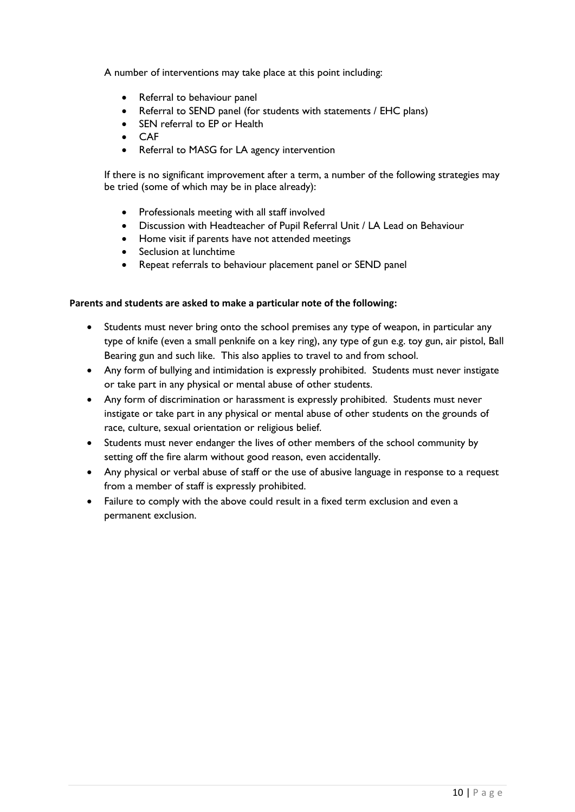A number of interventions may take place at this point including:

- Referral to behaviour panel
- Referral to SEND panel (for students with statements / EHC plans)
- SEN referral to EP or Health
- $\bullet$   $\cap$   $\triangle$  F
- Referral to MASG for LA agency intervention

If there is no significant improvement after a term, a number of the following strategies may be tried (some of which may be in place already):

- Professionals meeting with all staff involved
- Discussion with Headteacher of Pupil Referral Unit / LA Lead on Behaviour
- Home visit if parents have not attended meetings
- Seclusion at lunchtime
- Repeat referrals to behaviour placement panel or SEND panel

#### **Parents and students are asked to make a particular note of the following:**

- Students must never bring onto the school premises any type of weapon, in particular any type of knife (even a small penknife on a key ring), any type of gun e.g. toy gun, air pistol, Ball Bearing gun and such like. This also applies to travel to and from school.
- Any form of bullying and intimidation is expressly prohibited. Students must never instigate or take part in any physical or mental abuse of other students.
- Any form of discrimination or harassment is expressly prohibited. Students must never instigate or take part in any physical or mental abuse of other students on the grounds of race, culture, sexual orientation or religious belief.
- Students must never endanger the lives of other members of the school community by setting off the fire alarm without good reason, even accidentally.
- Any physical or verbal abuse of staff or the use of abusive language in response to a request from a member of staff is expressly prohibited.
- Failure to comply with the above could result in a fixed term exclusion and even a permanent exclusion.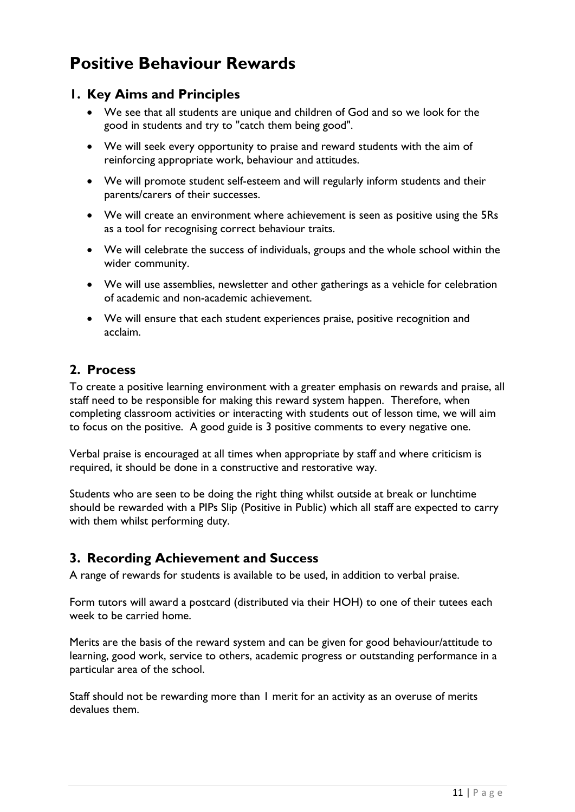# <span id="page-10-0"></span>**Positive Behaviour Rewards**

## <span id="page-10-1"></span>**1. Key Aims and Principles**

- We see that all students are unique and children of God and so we look for the good in students and try to "catch them being good".
- We will seek every opportunity to praise and reward students with the aim of reinforcing appropriate work, behaviour and attitudes.
- We will promote student self-esteem and will regularly inform students and their parents/carers of their successes.
- We will create an environment where achievement is seen as positive using the 5Rs as a tool for recognising correct behaviour traits.
- We will celebrate the success of individuals, groups and the whole school within the wider community.
- We will use assemblies, newsletter and other gatherings as a vehicle for celebration of academic and non-academic achievement.
- We will ensure that each student experiences praise, positive recognition and acclaim.

## <span id="page-10-2"></span>**2. Process**

To create a positive learning environment with a greater emphasis on rewards and praise, all staff need to be responsible for making this reward system happen. Therefore, when completing classroom activities or interacting with students out of lesson time, we will aim to focus on the positive. A good guide is 3 positive comments to every negative one.

Verbal praise is encouraged at all times when appropriate by staff and where criticism is required, it should be done in a constructive and restorative way.

Students who are seen to be doing the right thing whilst outside at break or lunchtime should be rewarded with a PIPs Slip (Positive in Public) which all staff are expected to carry with them whilst performing duty.

## <span id="page-10-3"></span>**3. Recording Achievement and Success**

A range of rewards for students is available to be used, in addition to verbal praise.

Form tutors will award a postcard (distributed via their HOH) to one of their tutees each week to be carried home.

Merits are the basis of the reward system and can be given for good behaviour/attitude to learning, good work, service to others, academic progress or outstanding performance in a particular area of the school.

Staff should not be rewarding more than 1 merit for an activity as an overuse of merits devalues them.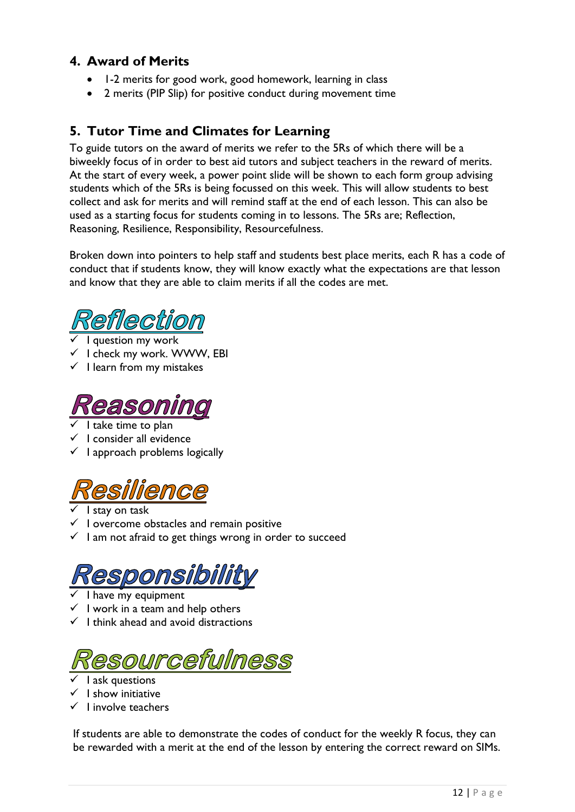## <span id="page-11-0"></span>**4. Award of Merits**

- 1-2 merits for good work, good homework, learning in class
- 2 merits (PIP Slip) for positive conduct during movement time

## <span id="page-11-1"></span>**5. Tutor Time and Climates for Learning**

To guide tutors on the award of merits we refer to the 5Rs of which there will be a biweekly focus of in order to best aid tutors and subject teachers in the reward of merits. At the start of every week, a power point slide will be shown to each form group advising students which of the 5Rs is being focussed on this week. This will allow students to best collect and ask for merits and will remind staff at the end of each lesson. This can also be used as a starting focus for students coming in to lessons. The 5Rs are; Reflection, Reasoning, Resilience, Responsibility, Resourcefulness.

Broken down into pointers to help staff and students best place merits, each R has a code of conduct that if students know, they will know exactly what the expectations are that lesson and know that they are able to claim merits if all the codes are met.



- $\checkmark$  I question my work
- $\checkmark$  I check my work. WWW, EBI
- $\checkmark$  I learn from my mistakes



- I take time to plan
- $\checkmark$  I consider all evidence
- $\checkmark$  I approach problems logically



- I stay on task
- $\checkmark$  I overcome obstacles and remain positive
- $\checkmark$  l am not afraid to get things wrong in order to succeed

# esponsibility

- I have my equipment
- $\checkmark$  I work in a team and help others
- $\checkmark$  I think ahead and avoid distractions



- I ask questions
- $\checkmark$  I show initiative
- $\checkmark$  I involve teachers

If students are able to demonstrate the codes of conduct for the weekly R focus, they can be rewarded with a merit at the end of the lesson by entering the correct reward on SIMs.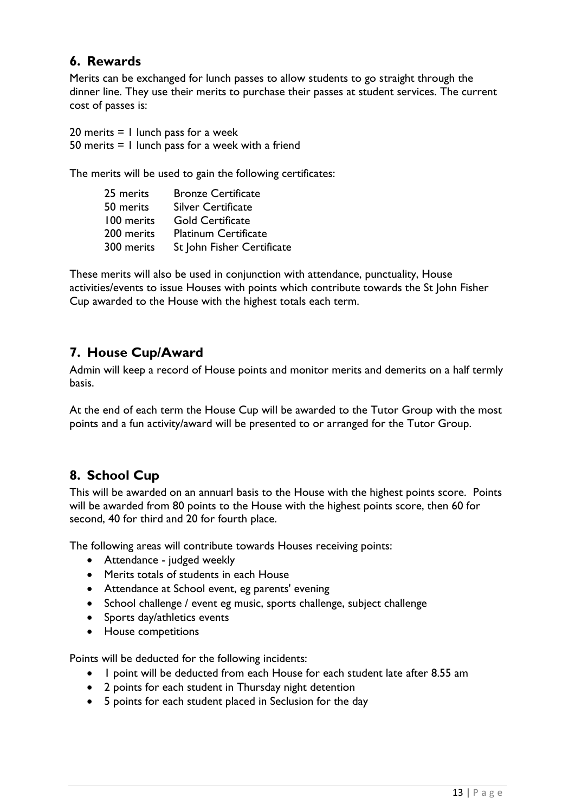## <span id="page-12-0"></span>**6. Rewards**

Merits can be exchanged for lunch passes to allow students to go straight through the dinner line. They use their merits to purchase their passes at student services. The current cost of passes is:

20 merits  $= 1$  lunch pass for a week 50 merits = 1 lunch pass for a week with a friend

The merits will be used to gain the following certificates:

| 25 merits  | <b>Bronze Certificate</b>   |
|------------|-----------------------------|
| 50 merits  | <b>Silver Certificate</b>   |
| 100 merits | <b>Gold Certificate</b>     |
| 200 merits | <b>Platinum Certificate</b> |
| 300 merits | St John Fisher Certificate  |

These merits will also be used in conjunction with attendance, punctuality, House activities/events to issue Houses with points which contribute towards the St John Fisher Cup awarded to the House with the highest totals each term.

## <span id="page-12-1"></span>**7. House Cup/Award**

Admin will keep a record of House points and monitor merits and demerits on a half termly basis.

At the end of each term the House Cup will be awarded to the Tutor Group with the most points and a fun activity/award will be presented to or arranged for the Tutor Group.

## <span id="page-12-2"></span>**8. School Cup**

This will be awarded on an annuarl basis to the House with the highest points score. Points will be awarded from 80 points to the House with the highest points score, then 60 for second, 40 for third and 20 for fourth place.

The following areas will contribute towards Houses receiving points:

- Attendance judged weekly
- Merits totals of students in each House
- Attendance at School event, eg parents' evening
- School challenge / event eg music, sports challenge, subject challenge
- Sports day/athletics events
- House competitions

Points will be deducted for the following incidents:

- I point will be deducted from each House for each student late after 8.55 am
- 2 points for each student in Thursday night detention
- 5 points for each student placed in Seclusion for the day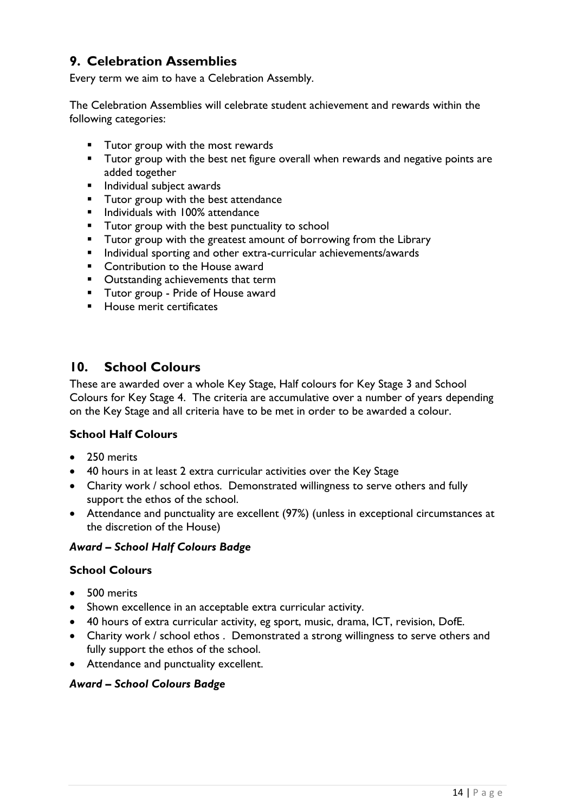## <span id="page-13-0"></span>**9. Celebration Assemblies**

Every term we aim to have a Celebration Assembly.

The Celebration Assemblies will celebrate student achievement and rewards within the following categories:

- **Tutor group with the most rewards**
- **Tutor group with the best net figure overall when rewards and negative points are** added together
- **Individual subject awards**
- **Tutor group with the best attendance**
- **Individuals with 100% attendance**
- **Tutor group with the best punctuality to school**
- **Tutor group with the greatest amount of borrowing from the Library**
- **Individual sporting and other extra-curricular achievements/awards**
- **EXECONDER** Contribution to the House award
- **•** Outstanding achievements that term
- **Tutor group Pride of House award**
- **House merit certificates**

### <span id="page-13-1"></span>**10. School Colours**

These are awarded over a whole Key Stage, Half colours for Key Stage 3 and School Colours for Key Stage 4. The criteria are accumulative over a number of years depending on the Key Stage and all criteria have to be met in order to be awarded a colour.

#### <span id="page-13-2"></span>**School Half Colours**

- 250 merits
- 40 hours in at least 2 extra curricular activities over the Key Stage
- Charity work / school ethos. Demonstrated willingness to serve others and fully support the ethos of the school.
- Attendance and punctuality are excellent (97%) (unless in exceptional circumstances at the discretion of the House)

#### *Award – School Half Colours Badge*

#### <span id="page-13-3"></span>**School Colours**

- 500 merits
- Shown excellence in an acceptable extra curricular activity.
- 40 hours of extra curricular activity, eg sport, music, drama, ICT, revision, DofE.
- Charity work / school ethos . Demonstrated a strong willingness to serve others and fully support the ethos of the school.
- Attendance and punctuality excellent.

#### *Award – School Colours Badge*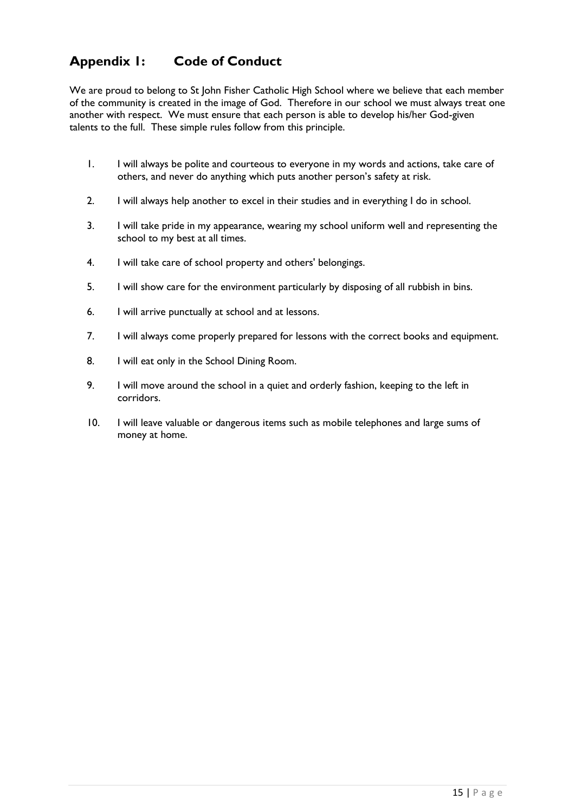## <span id="page-14-0"></span>**Appendix 1: Code of Conduct**

We are proud to belong to St John Fisher Catholic High School where we believe that each member of the community is created in the image of God. Therefore in our school we must always treat one another with respect. We must ensure that each person is able to develop his/her God-given talents to the full. These simple rules follow from this principle.

- 1. I will always be polite and courteous to everyone in my words and actions, take care of others, and never do anything which puts another person's safety at risk.
- 2. I will always help another to excel in their studies and in everything I do in school.
- 3. I will take pride in my appearance, wearing my school uniform well and representing the school to my best at all times.
- 4. I will take care of school property and others' belongings.
- 5. I will show care for the environment particularly by disposing of all rubbish in bins.
- 6. I will arrive punctually at school and at lessons.
- 7. I will always come properly prepared for lessons with the correct books and equipment.
- 8. I will eat only in the School Dining Room.
- 9. I will move around the school in a quiet and orderly fashion, keeping to the left in corridors.
- 10. I will leave valuable or dangerous items such as mobile telephones and large sums of money at home.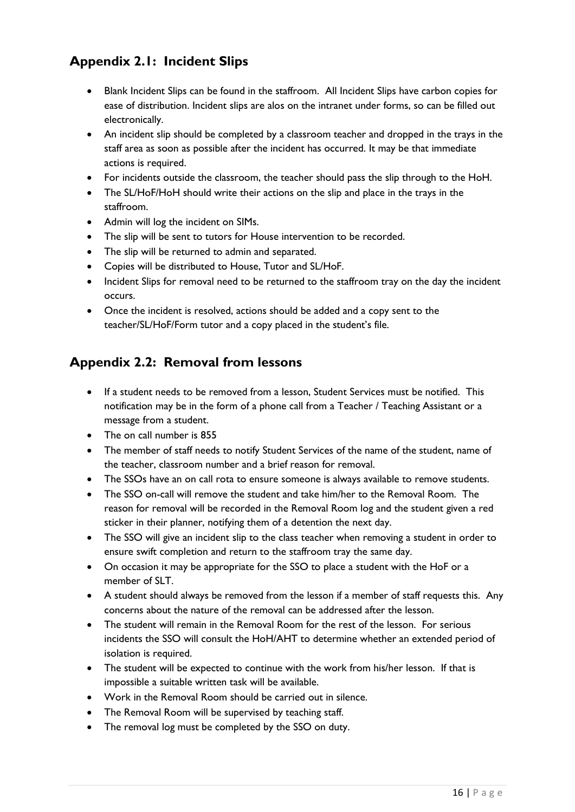## <span id="page-15-0"></span>**Appendix 2.1: Incident Slips**

- Blank Incident Slips can be found in the staffroom. All Incident Slips have carbon copies for ease of distribution. Incident slips are alos on the intranet under forms, so can be filled out electronically.
- An incident slip should be completed by a classroom teacher and dropped in the trays in the staff area as soon as possible after the incident has occurred. It may be that immediate actions is required.
- For incidents outside the classroom, the teacher should pass the slip through to the HoH.
- The SL/HoF/HoH should write their actions on the slip and place in the trays in the staffroom.
- Admin will log the incident on SIMs.
- The slip will be sent to tutors for House intervention to be recorded.
- The slip will be returned to admin and separated.
- Copies will be distributed to House, Tutor and SL/HoF.
- Incident Slips for removal need to be returned to the staffroom tray on the day the incident occurs.
- Once the incident is resolved, actions should be added and a copy sent to the teacher/SL/HoF/Form tutor and a copy placed in the student's file.

## <span id="page-15-1"></span>**Appendix 2.2: Removal from lessons**

- If a student needs to be removed from a lesson, Student Services must be notified. This notification may be in the form of a phone call from a Teacher / Teaching Assistant or a message from a student.
- The on call number is 855
- The member of staff needs to notify Student Services of the name of the student, name of the teacher, classroom number and a brief reason for removal.
- The SSOs have an on call rota to ensure someone is always available to remove students.
- The SSO on-call will remove the student and take him/her to the Removal Room. The reason for removal will be recorded in the Removal Room log and the student given a red sticker in their planner, notifying them of a detention the next day.
- The SSO will give an incident slip to the class teacher when removing a student in order to ensure swift completion and return to the staffroom tray the same day.
- On occasion it may be appropriate for the SSO to place a student with the HoF or a member of SLT.
- A student should always be removed from the lesson if a member of staff requests this. Any concerns about the nature of the removal can be addressed after the lesson.
- The student will remain in the Removal Room for the rest of the lesson. For serious incidents the SSO will consult the HoH/AHT to determine whether an extended period of isolation is required.
- The student will be expected to continue with the work from his/her lesson. If that is impossible a suitable written task will be available.
- Work in the Removal Room should be carried out in silence.
- The Removal Room will be supervised by teaching staff.
- The removal log must be completed by the SSO on duty.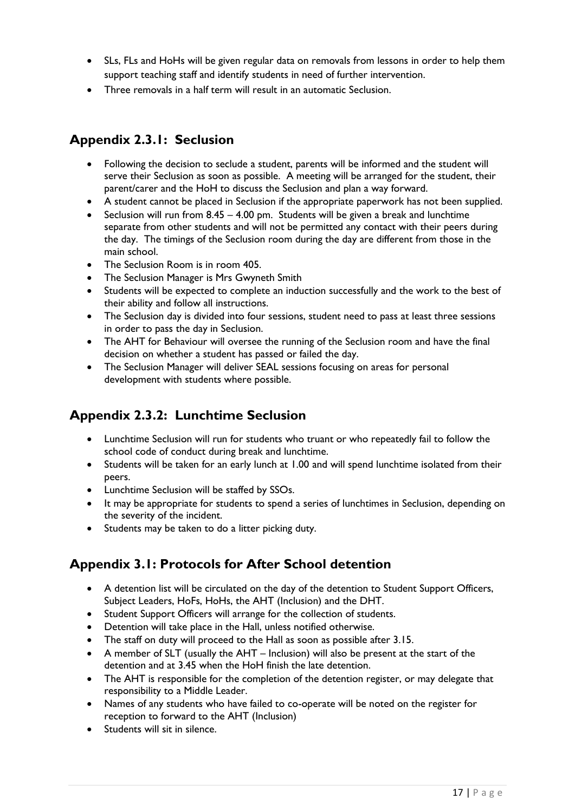- SLs, FLs and HoHs will be given regular data on removals from lessons in order to help them support teaching staff and identify students in need of further intervention.
- Three removals in a half term will result in an automatic Seclusion.

## <span id="page-16-0"></span>**Appendix 2.3.1: Seclusion**

- Following the decision to seclude a student, parents will be informed and the student will serve their Seclusion as soon as possible. A meeting will be arranged for the student, their parent/carer and the HoH to discuss the Seclusion and plan a way forward.
- A student cannot be placed in Seclusion if the appropriate paperwork has not been supplied.
- Seclusion will run from  $8.45 4.00$  pm. Students will be given a break and lunchtime separate from other students and will not be permitted any contact with their peers during the day. The timings of the Seclusion room during the day are different from those in the main school.
- The Seclusion Room is in room 405.
- The Seclusion Manager is Mrs Gwyneth Smith
- Students will be expected to complete an induction successfully and the work to the best of their ability and follow all instructions.
- The Seclusion day is divided into four sessions, student need to pass at least three sessions in order to pass the day in Seclusion.
- The AHT for Behaviour will oversee the running of the Seclusion room and have the final decision on whether a student has passed or failed the day.
- The Seclusion Manager will deliver SEAL sessions focusing on areas for personal development with students where possible.

## <span id="page-16-1"></span>**Appendix 2.3.2: Lunchtime Seclusion**

- Lunchtime Seclusion will run for students who truant or who repeatedly fail to follow the school code of conduct during break and lunchtime.
- Students will be taken for an early lunch at 1.00 and will spend lunchtime isolated from their peers.
- Lunchtime Seclusion will be staffed by SSOs.
- It may be appropriate for students to spend a series of lunchtimes in Seclusion, depending on the severity of the incident.
- Students may be taken to do a litter picking duty.

## <span id="page-16-2"></span>**Appendix 3.1: Protocols for After School detention**

- A detention list will be circulated on the day of the detention to Student Support Officers, Subject Leaders, HoFs, HoHs, the AHT (Inclusion) and the DHT.
- Student Support Officers will arrange for the collection of students.
- Detention will take place in the Hall, unless notified otherwise.
- The staff on duty will proceed to the Hall as soon as possible after 3.15.
- A member of SLT (usually the AHT Inclusion) will also be present at the start of the detention and at 3.45 when the HoH finish the late detention.
- The AHT is responsible for the completion of the detention register, or may delegate that responsibility to a Middle Leader.
- Names of any students who have failed to co-operate will be noted on the register for reception to forward to the AHT (Inclusion)
- Students will sit in silence.